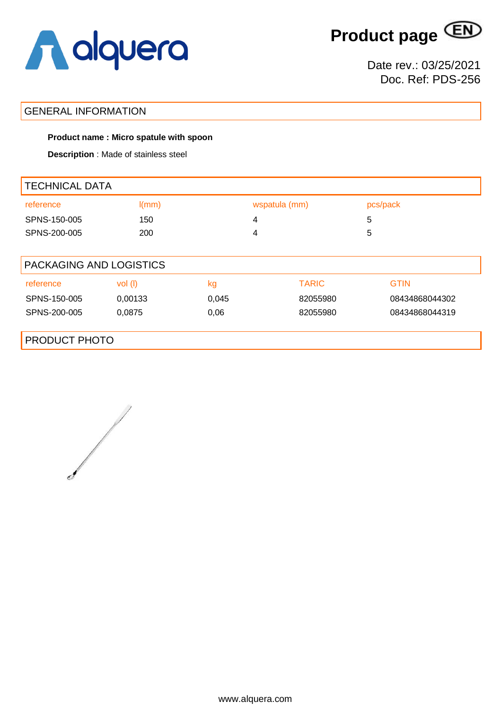

**Product page**

Date rev.: 03/25/2021 Doc. Ref: PDS-256

### GENERAL INFORMATION

#### **Product name : Micro spatule with spoon**

**Description** : Made of stainless steel

| <b>TECHNICAL DATA</b>   |         |       |               |                |  |  |
|-------------------------|---------|-------|---------------|----------------|--|--|
| reference               | I(mm)   |       | wspatula (mm) | pcs/pack       |  |  |
| SPNS-150-005            | 150     | 4     |               | 5              |  |  |
| SPNS-200-005            | 200     | 4     |               | 5              |  |  |
|                         |         |       |               |                |  |  |
| PACKAGING AND LOGISTICS |         |       |               |                |  |  |
| reference               | vol(    | kg    | <b>TARIC</b>  | <b>GTIN</b>    |  |  |
| SPNS-150-005            | 0,00133 | 0,045 | 82055980      | 08434868044302 |  |  |
| SPNS-200-005            | 0,0875  | 0,06  | 82055980      | 08434868044319 |  |  |
|                         |         |       |               |                |  |  |
| <b>PRODUCT PHOTO</b>    |         |       |               |                |  |  |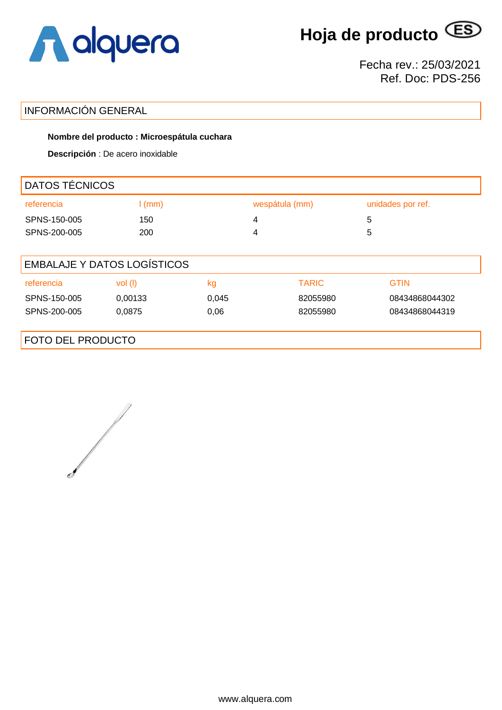

**Hoja de producto**

Fecha rev.: 25/03/2021 Ref. Doc: PDS-256

# INFORMACIÓN GENERAL

### **Nombre del producto : Microespátula cuchara**

**Descripción** : De acero inoxidable

| DATOS TÉCNICOS                     |          |       |                |                   |  |  |
|------------------------------------|----------|-------|----------------|-------------------|--|--|
| referencia                         | $l$ (mm) |       | wespátula (mm) | unidades por ref. |  |  |
| SPNS-150-005                       | 150      |       | 4              | 5                 |  |  |
| SPNS-200-005                       | 200      |       | 4              | 5                 |  |  |
|                                    |          |       |                |                   |  |  |
| <b>EMBALAJE Y DATOS LOGÍSTICOS</b> |          |       |                |                   |  |  |
| referencia                         | vol(     | kg    | <b>TARIC</b>   | <b>GTIN</b>       |  |  |
| SPNS-150-005                       | 0,00133  | 0,045 | 82055980       | 08434868044302    |  |  |
| SPNS-200-005                       | 0,0875   | 0,06  | 82055980       | 08434868044319    |  |  |
|                                    |          |       |                |                   |  |  |
| <b>FOTO DEL PRODUCTO</b>           |          |       |                |                   |  |  |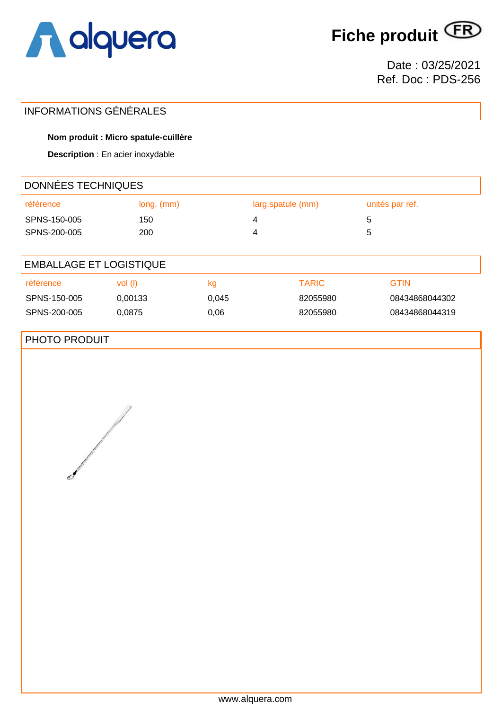

**Fiche produit**

Date : 03/25/2021 Ref. Doc : PDS-256

# INFORMATIONS GÉNÉRALES

### **Nom produit : Micro spatule-cuillère**

**Description** : En acier inoxydable

| DONNÉES TECHNIQUES             |              |       |   |                   |   |                 |  |
|--------------------------------|--------------|-------|---|-------------------|---|-----------------|--|
| référence                      | $long.$ (mm) |       |   | larg.spatule (mm) |   | unités par ref. |  |
| SPNS-150-005                   | 150          |       | 4 |                   | 5 |                 |  |
| SPNS-200-005                   | 200          |       | 4 |                   | 5 |                 |  |
|                                |              |       |   |                   |   |                 |  |
| <b>EMBALLAGE ET LOGISTIQUE</b> |              |       |   |                   |   |                 |  |
| référence                      | vol (l)      | kg    |   | <b>TARIC</b>      |   | <b>GTIN</b>     |  |
| SPNS-150-005                   | 0,00133      | 0,045 |   | 82055980          |   | 08434868044302  |  |
| SPNS-200-005                   | 0,0875       | 0,06  |   | 82055980          |   | 08434868044319  |  |

## PHOTO PRODUIT

www.alquera.com